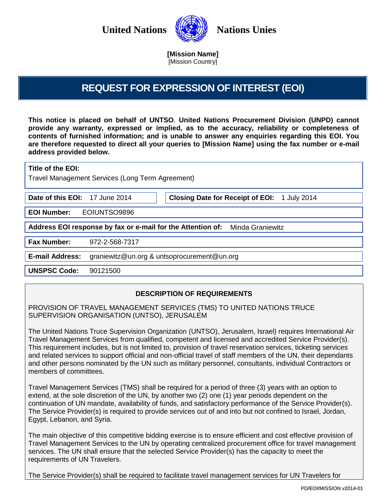

<span id="page-0-1"></span>**[Mission Name]**  [Mission Country]

# **REQUEST FOR EXPRESSION OF INTEREST (EOI)**

<span id="page-0-0"></span>**This notice is placed on behalf of UNTSO**. **United Nations Procurement Division (UNPD) cannot provide any warranty, expressed or implied, as to the accuracy, reliability or completeness of contents of furnished information; and is unable to answer any enquiries regarding this EOI. You are therefore requested to direct all your queries to [\[Mission Name\]](#page-0-0) using the fax number or e-mail address provided below.**

<span id="page-0-5"></span><span id="page-0-3"></span>

| Title of the EOI:<br>Travel Management Services (Long Term Agreement)        |                                                                        |  |
|------------------------------------------------------------------------------|------------------------------------------------------------------------|--|
| Date of this EOI:                                                            | <b>Closing Date for Receipt of EOI:</b><br>17 June 2014<br>1 July 2014 |  |
| <b>EOI Number:</b>                                                           | EOIUNTSO9896                                                           |  |
| Address EOI response by fax or e-mail for the Attention of: Minda Graniewitz |                                                                        |  |
| <b>Fax Number:</b>                                                           | 972-2-568-7317                                                         |  |
| <b>E-mail Address:</b>                                                       | graniewitz@un.org & untsoprocurement@un.org                            |  |
| <b>UNSPSC Code:</b>                                                          | 90121500                                                               |  |

# <span id="page-0-4"></span><span id="page-0-2"></span>**DESCRIPTION OF REQUIREMENTS**

PROVISION OF TRAVEL MANAGEMENT SERVICES (TMS) TO UNITED NATIONS TRUCE SUPERVISION ORGANISATION (UNTSO), JERUSALEM

The United Nations Truce Supervision Organization (UNTSO), Jerusalem, Israel) requires International Air Travel Management Services from qualified, competent and licensed and accredited Service Provider(s). This requirement includes, but is not limited to, provision of travel reservation services, ticketing services and related services to support official and non-official travel of staff members of the UN, their dependants and other persons nominated by the UN such as military personnel, consultants, individual Contractors or members of committees.

Travel Management Services (TMS) shall be required for a period of three (3) years with an option to extend, at the sole discretion of the UN, by another two (2) one (1) year periods dependent on the continuation of UN mandate, availability of funds, and satisfactory performance of the Service Provider(s). The Service Provider(s) is required to provide services out of and into but not confined to Israel, Jordan, Egypt, Lebanon, and Syria.

The main objective of this competitive bidding exercise is to ensure efficient and cost effective provision of Travel Management Services to the UN by operating centralized procurement office for travel management services. The UN shall ensure that the selected Service Provider(s) has the capacity to meet the requirements of UN Travelers.

The Service Provider(s) shall be required to facilitate travel management services for UN Travelers for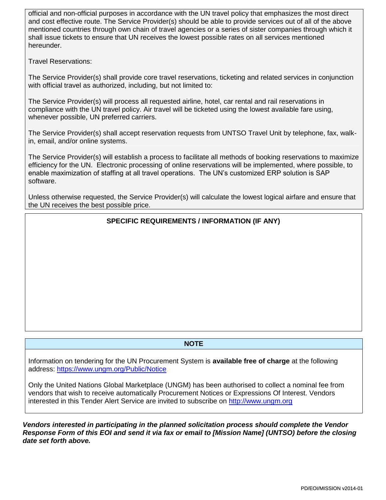official and non-official purposes in accordance with the UN travel policy that emphasizes the most direct and cost effective route. The Service Provider(s) should be able to provide services out of all of the above mentioned countries through own chain of travel agencies or a series of sister companies through which it shall issue tickets to ensure that UN receives the lowest possible rates on all services mentioned hereunder.

Travel Reservations:

The Service Provider(s) shall provide core travel reservations, ticketing and related services in conjunction with official travel as authorized, including, but not limited to:

The Service Provider(s) will process all requested airline, hotel, car rental and rail reservations in compliance with the UN travel policy. Air travel will be ticketed using the lowest available fare using, whenever possible, UN preferred carriers.

The Service Provider(s) shall accept reservation requests from UNTSO Travel Unit by telephone, fax, walkin, email, and/or online systems.

The Service Provider(s) will establish a process to facilitate all methods of booking reservations to maximize efficiency for the UN. Electronic processing of online reservations will be implemented, where possible, to enable maximization of staffing at all travel operations. The UN's customized ERP solution is SAP software.

Unless otherwise requested, the Service Provider(s) will calculate the lowest logical airfare and ensure that the UN receives the best possible price.

## **SPECIFIC REQUIREMENTS / INFORMATION (IF ANY)**

#### **NOTE**

Information on tendering for the UN Procurement System is **available free of charge** at the following address:<https://www.ungm.org/Public/Notice>

Only the United Nations Global Marketplace (UNGM) has been authorised to collect a nominal fee from vendors that wish to receive automatically Procurement Notices or Expressions Of Interest. Vendors interested in this Tender Alert Service are invited to subscribe on [http://www.ungm.org](http://www.ungm.org/)

*Vendors interested in participating in the planned solicitation process should complete the Vendor Response Form of this EOI and send it via fax or email to [\[Mission Name\]](#page-0-0) [\(UNTSO\)](#page-0-1) before the closing date set forth above.*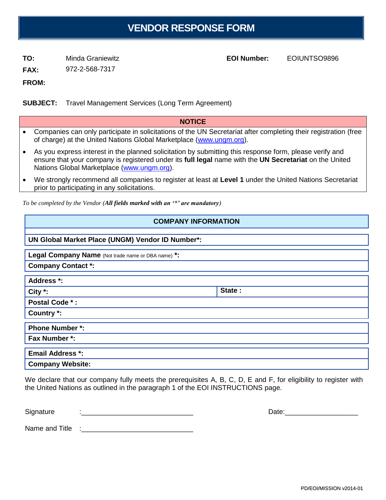# **VENDOR RESPONSE FORM**

**TO:** [Minda Graniewitz](#page-0-2) **EOI Number:** [EOIUNTSO9896](#page-0-3)

**FROM:**

**SUBJECT:** [Travel Management Services \(Long Term Agreement\)](#page-0-5)

### **NOTICE**

- Companies can only participate in solicitations of the UN Secretariat after completing their registration (free of charge) at the United Nations Global Marketplace [\(www.ungm.org\)](http://www.ungm.org/).
- As you express interest in the planned solicitation by submitting this response form, please verify and ensure that your company is registered under its **full legal** name with the **UN Secretariat** on the United Nations Global Marketplace [\(www.ungm.org\)](http://www.ungm.org/).
- We strongly recommend all companies to register at least at **Level 1** under the United Nations Secretariat prior to participating in any solicitations.

*To be completed by the Vendor (All fields marked with an '\*' are mandatory)*

## **COMPANY INFORMATION**

## **UN Global Market Place (UNGM) Vendor ID Number\*:**

**Legal Company Name** (Not trade name or DBA name) **\*:**

**Company Contact \*:**

**Address \*:**

**City \*: State : State : State : State :** 

**Postal Code \* :**

**Country \*:**

**Phone Number \*: Fax Number \*:**

| <b>Email Address *:</b> |  |
|-------------------------|--|
| <b>Company Website:</b> |  |

We declare that our company fully meets the prerequisites A, B, C, D, E and F, for eligibility to register with the United Nations as outlined in the paragraph 1 of the EOI INSTRUCTIONS page.

Signature :\_\_\_\_\_\_\_\_\_\_\_\_\_\_\_\_\_\_\_\_\_\_\_\_\_\_\_\_\_ Date:\_\_\_\_\_\_\_\_\_\_\_\_\_\_\_\_\_\_\_

Name and Title :\_\_\_\_\_\_\_\_\_\_\_\_\_\_\_\_\_\_\_\_\_\_\_\_\_\_\_\_\_

PD/EOI/MISSION v2014-01